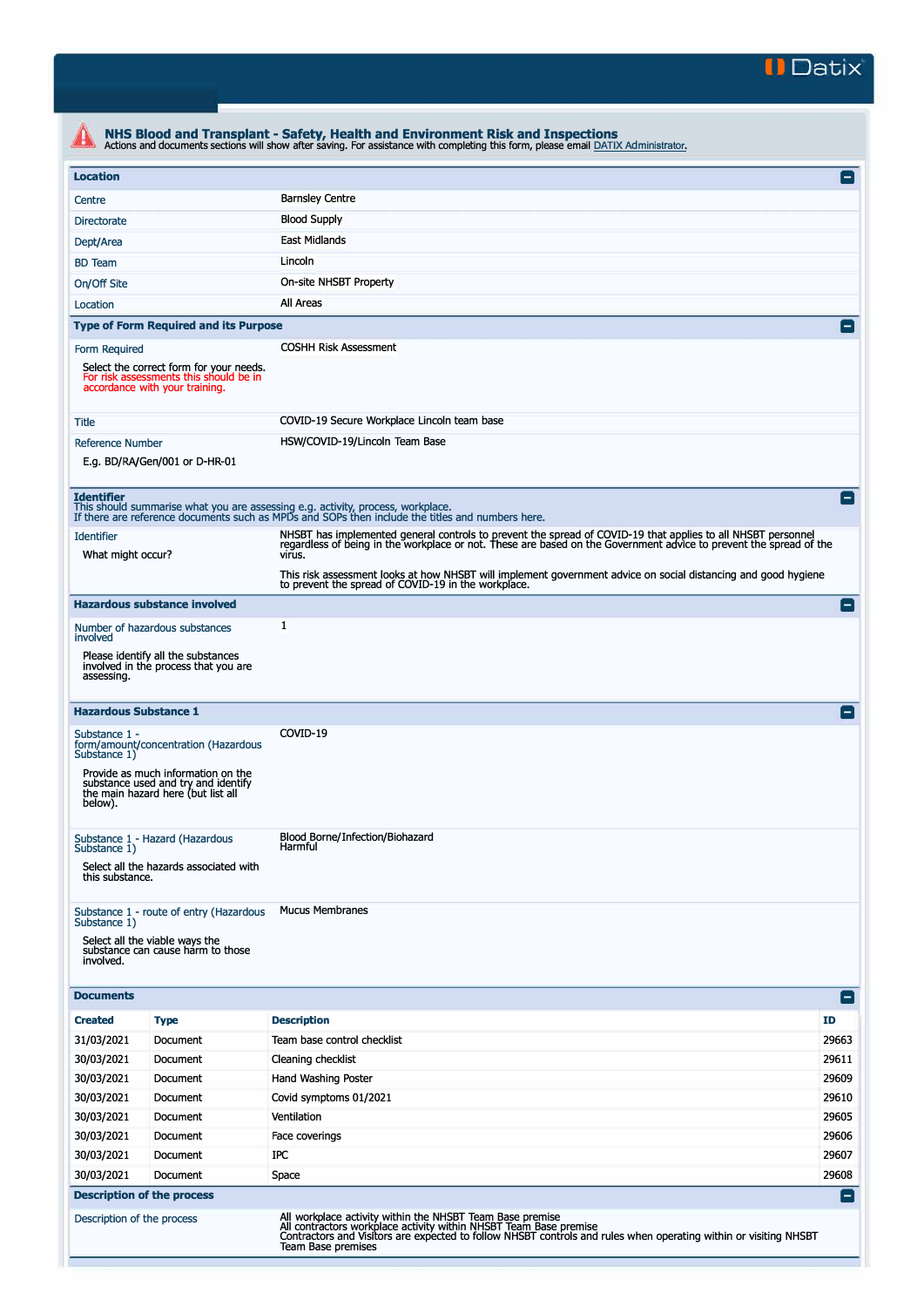

| <b>Location</b>                                                                                                     |                                                                                                                 |                                                                                                                                                                                                                  | E               |  |
|---------------------------------------------------------------------------------------------------------------------|-----------------------------------------------------------------------------------------------------------------|------------------------------------------------------------------------------------------------------------------------------------------------------------------------------------------------------------------|-----------------|--|
| Centre                                                                                                              |                                                                                                                 | <b>Barnsley Centre</b>                                                                                                                                                                                           |                 |  |
| <b>Blood Supply</b><br><b>Directorate</b>                                                                           |                                                                                                                 |                                                                                                                                                                                                                  |                 |  |
| East Midlands<br>Dept/Area                                                                                          |                                                                                                                 |                                                                                                                                                                                                                  |                 |  |
| Lincoln<br><b>BD</b> Team                                                                                           |                                                                                                                 |                                                                                                                                                                                                                  |                 |  |
| On-site NHSBT Property<br>On/Off Site                                                                               |                                                                                                                 |                                                                                                                                                                                                                  |                 |  |
| All Areas<br>Location                                                                                               |                                                                                                                 |                                                                                                                                                                                                                  |                 |  |
|                                                                                                                     | <b>Type of Form Required and its Purpose</b>                                                                    |                                                                                                                                                                                                                  | E               |  |
| Form Required                                                                                                       |                                                                                                                 | <b>COSHH Risk Assessment</b>                                                                                                                                                                                     |                 |  |
| Select the correct form for your needs.<br>For risk assessments this should be in<br>accordance with your training. |                                                                                                                 |                                                                                                                                                                                                                  |                 |  |
| Title                                                                                                               |                                                                                                                 | COVID-19 Secure Workplace Lincoln team base                                                                                                                                                                      |                 |  |
| <b>Reference Number</b>                                                                                             |                                                                                                                 | HSW/COVID-19/Lincoln Team Base                                                                                                                                                                                   |                 |  |
|                                                                                                                     | E.g. BD/RA/Gen/001 or D-HR-01                                                                                   |                                                                                                                                                                                                                  |                 |  |
| <b>Identifier</b>                                                                                                   |                                                                                                                 | This should summarise what you are assessing e.g. activity, process, workplace.                                                                                                                                  | l –             |  |
|                                                                                                                     |                                                                                                                 | If there are reference documents such as MPDs and SOPs then include the titles and numbers here.<br>NHSBT has implemented general controls to prevent the spread of COVID-19 that applies to all NHSBT personnel |                 |  |
| <b>Identifier</b><br>What might occur?                                                                              |                                                                                                                 | regardless of being in the workplace or not. These are based on the Government advice to prevent the spread of the<br>virus.                                                                                     |                 |  |
|                                                                                                                     |                                                                                                                 | This risk assessment looks at how NHSBT will implement government advice on social distancing and good hygiene<br>to prevent the spread of COVID-19 in the workplace.                                            |                 |  |
|                                                                                                                     | <b>Hazardous substance involved</b>                                                                             |                                                                                                                                                                                                                  | $\vert - \vert$ |  |
| involved                                                                                                            | Number of hazardous substances                                                                                  | 1                                                                                                                                                                                                                |                 |  |
| assessing.                                                                                                          | Please identify all the substances<br>involved in the process that you are                                      |                                                                                                                                                                                                                  |                 |  |
| <b>Hazardous Substance 1</b>                                                                                        |                                                                                                                 |                                                                                                                                                                                                                  |                 |  |
| Substance 1 -<br>Substance 1)                                                                                       | form/amount/concentration (Hazardous                                                                            | COVID-19                                                                                                                                                                                                         |                 |  |
| below).                                                                                                             | Provide as much information on the<br>substance used and try and identify<br>the main hazard here (but list all |                                                                                                                                                                                                                  |                 |  |
| Substance 1)                                                                                                        | Substance 1 - Hazard (Hazardous<br>Select all the hazards associated with                                       | Blood Borne/Infection/Biohazard<br>Harmful                                                                                                                                                                       |                 |  |
| this substance.                                                                                                     |                                                                                                                 |                                                                                                                                                                                                                  |                 |  |
| Substance 1)<br>involved.                                                                                           | Substance 1 - route of entry (Hazardous<br>Select all the viable ways the<br>substance can cause harm to those  | <b>Mucus Membranes</b>                                                                                                                                                                                           |                 |  |
| <b>Documents</b>                                                                                                    |                                                                                                                 |                                                                                                                                                                                                                  | $ - $           |  |
| <b>Created</b>                                                                                                      | <b>Type</b>                                                                                                     | <b>Description</b>                                                                                                                                                                                               | <b>ID</b>       |  |
| 31/03/2021                                                                                                          | Document                                                                                                        | Team base control checklist                                                                                                                                                                                      | 29663           |  |
| 30/03/2021                                                                                                          | Document                                                                                                        | Cleaning checklist                                                                                                                                                                                               | 29611           |  |
| 30/03/2021                                                                                                          | Document                                                                                                        | Hand Washing Poster                                                                                                                                                                                              | 29609           |  |
| 30/03/2021                                                                                                          | Document                                                                                                        | Covid symptoms 01/2021                                                                                                                                                                                           | 29610           |  |
| 30/03/2021                                                                                                          | Document                                                                                                        | Ventilation                                                                                                                                                                                                      | 29605           |  |
| 30/03/2021                                                                                                          | Document                                                                                                        | Face coverings                                                                                                                                                                                                   | 29606           |  |
| 30/03/2021                                                                                                          | Document                                                                                                        | IPC                                                                                                                                                                                                              | 29607           |  |
| 30/03/2021                                                                                                          | Document                                                                                                        | Space                                                                                                                                                                                                            | 29608           |  |
|                                                                                                                     | <b>Description of the process</b>                                                                               |                                                                                                                                                                                                                  | н.              |  |
| Description of the process                                                                                          |                                                                                                                 | All workplace activity within the NHSBT Team Base premise<br>All contractors workplace activity within NHSBT Team Base premise                                                                                   |                 |  |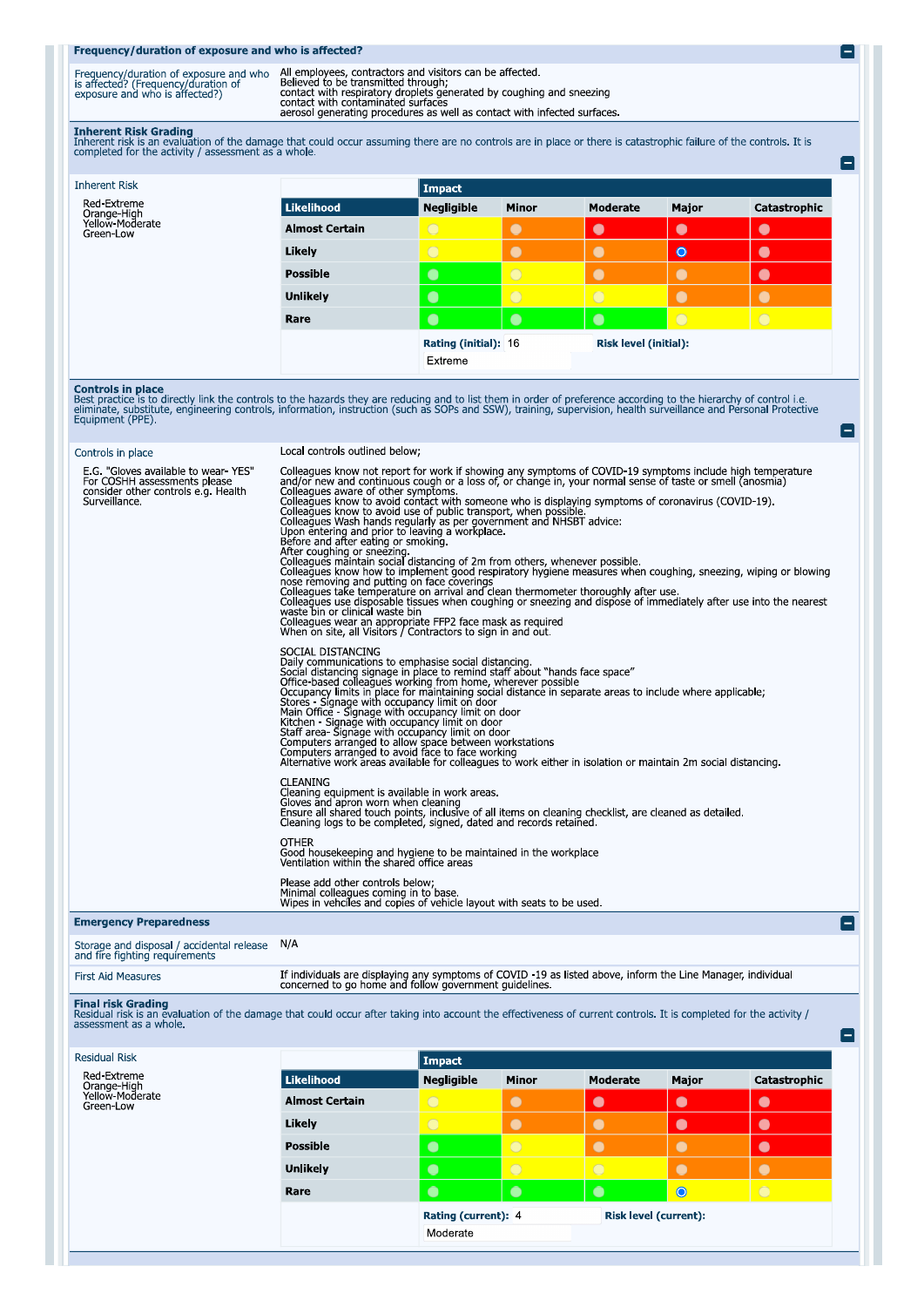## Frequency/duration of exposure and who is affected?

| Frequency/duration of exposure and who<br>is affected? (Frequency/duration of<br>exposure and who is affected?) | All employees, contractors and visitors can be affected<br>Believed to be transmitted through:<br>contact with respiratory droplets generated by coughing and sneezing<br>contact with contaminated surfaces<br>aerosol generating procedures as well as contact with infected surfaces |
|-----------------------------------------------------------------------------------------------------------------|-----------------------------------------------------------------------------------------------------------------------------------------------------------------------------------------------------------------------------------------------------------------------------------------|

e

e

 $\blacksquare$ 

 $\blacksquare$ 

Inherent Risk Grading<br>Inherent risk is an evaluation of the damage that could occur assuming there are no controls are in place or there is catastrophic failure of the controls. It is<br>completed for the activity / assessmen

| <b>Inherent Risk</b>                                       |                       | Impact            |                      |            |                              |              |  |
|------------------------------------------------------------|-----------------------|-------------------|----------------------|------------|------------------------------|--------------|--|
| Red-Extreme<br>Orange-High<br>Yellow-Moderate<br>Green-Low | <b>Likelihood</b>     | <b>Negligible</b> | <b>Minor</b>         | Moderate   | Major                        | Catastrophic |  |
|                                                            | <b>Almost Certain</b> | $\circ$           | $\bullet$            | $\bullet$  | $\bullet$                    | $\bullet$    |  |
|                                                            | Likely                | $\bigcirc$        | $\bullet$            | $\bullet$  | $\bullet$                    | $\bullet$    |  |
|                                                            | <b>Possible</b>       | $\bullet$         | $\overline{O}$       | $\bullet$  | $\bullet$                    | $\bullet$    |  |
|                                                            | <b>Unlikely</b>       | $\bullet$         | $\circ$              | $\bigcirc$ | $\bullet$                    | $\bullet$    |  |
|                                                            | Rare                  | $\bullet$         | $\bullet$            | $\bullet$  | $\circ$                      | $\bigcirc$   |  |
|                                                            |                       |                   | Rating (initial): 16 |            | <b>Risk level (initial):</b> |              |  |
|                                                            |                       | Extreme           |                      |            |                              |              |  |

**Controls in place**<br>Best practice is to directly link the controls to the hazards they are reducing and to list them in order of preference according to the hierarchy of control i.e.<br>eliminate, substitute, engineering cont

| Controls in place                                                                                                           | Local controls outlined below:                                                                                                                                                                                                                                                                                                                                                                                                                                                                                                                                                                                                                                                                                                                                                                                                                                                                                                                                                                                                                                                                                                                                                                                                       |
|-----------------------------------------------------------------------------------------------------------------------------|--------------------------------------------------------------------------------------------------------------------------------------------------------------------------------------------------------------------------------------------------------------------------------------------------------------------------------------------------------------------------------------------------------------------------------------------------------------------------------------------------------------------------------------------------------------------------------------------------------------------------------------------------------------------------------------------------------------------------------------------------------------------------------------------------------------------------------------------------------------------------------------------------------------------------------------------------------------------------------------------------------------------------------------------------------------------------------------------------------------------------------------------------------------------------------------------------------------------------------------|
| E.G. "Gloves available to wear-YES"<br>For COSHH assessments please<br>consider other controls e.g. Health<br>Surveillance. | Colleagues know not report for work if showing any symptoms of COVID-19 symptoms include high temperature<br>and/or new and continuous cough or a loss of, or change in, your normal sense of taste or smell (anosmia)<br>Colleagues aware of other symptoms.<br>Colleagues know to avoid contact with someone who is displaying symptoms of coronavirus (COVID-19).<br>Colleagues know to avoid use of public transport, when possible.<br>Colleagues Wash hands regularly as per government and NHSBT advice:<br>Upon entering and prior to leaving a workplace.<br>Before and after eating or smoking.<br>After coughing or sneezing and a state of 2m from others, whenever possible.<br>Colleagues know how to implement good respiratory hygiene measures when coughing, sneezing, wiping or blowing<br>nose removing and putting on face coverings<br>Colleagues take temperature on arrival and clean thermometer thoroughly after use.<br>Colleagues use disposable tissues when coughing or sneezing and dispose of immediately after use into the nearest<br>waste bin or clinical waste bin<br>Colleagues wear an appropriate FFP2 face mask as required<br>When on site, all Visitors / Contractors to sign in and out. |
|                                                                                                                             | SOCIAL DISTANCING<br>Daily communications to emphasise social distancing.<br>Social distancing signage in place to remind staff about "hands face space"<br>Office-based colleagues working from home, wherever possible<br>Successive conceased contribution in place for maintaining social distance in separate areas to include where applicable;<br>Stores - Signage with occupancy limit on door<br>Main Office - Signage with occupancy limit on door<br>Mic<br>Computers arranged to avoid face to face working<br>Alternative work areas available for colleagues to work either in isolation or maintain 2m social distancing.                                                                                                                                                                                                                                                                                                                                                                                                                                                                                                                                                                                             |
|                                                                                                                             | <b>CLEANING</b><br>Cleaning equipment is available in work areas.<br>Gloves and apron worn when cleaning<br>Ensure all shared touch points, inclusive of all items on cleaning checklist, are cleaned as detailed.<br>Cleaning logs to be completed, signed, dated and records retained.                                                                                                                                                                                                                                                                                                                                                                                                                                                                                                                                                                                                                                                                                                                                                                                                                                                                                                                                             |
|                                                                                                                             | <b>OTHER</b><br>Good housekeeping and hygiene to be maintained in the workplace<br>Ventilation within the shared office areas                                                                                                                                                                                                                                                                                                                                                                                                                                                                                                                                                                                                                                                                                                                                                                                                                                                                                                                                                                                                                                                                                                        |
|                                                                                                                             | Please add other controls below;<br>Minimal colleagues coming in to base.<br>Wipes in vehciles and copies of vehicle layout with seats to be used.                                                                                                                                                                                                                                                                                                                                                                                                                                                                                                                                                                                                                                                                                                                                                                                                                                                                                                                                                                                                                                                                                   |
| <b>Emergency Preparedness</b>                                                                                               |                                                                                                                                                                                                                                                                                                                                                                                                                                                                                                                                                                                                                                                                                                                                                                                                                                                                                                                                                                                                                                                                                                                                                                                                                                      |
| $C_{\text{torana and dienocal}}$ (accidental release) $N/\Delta$                                                            |                                                                                                                                                                                                                                                                                                                                                                                                                                                                                                                                                                                                                                                                                                                                                                                                                                                                                                                                                                                                                                                                                                                                                                                                                                      |

Storage and disposal / accidental release N/A<br>and fire fighting requirements

| First Aid Measures | If individuals are displaying any symptoms of COVID -19 as listed above, inform the Line Manager, individual<br>concerned to go home and follow government guidelines |
|--------------------|-----------------------------------------------------------------------------------------------------------------------------------------------------------------------|
|                    |                                                                                                                                                                       |

Final risk Grading<br>Residual risk is an evaluation of the damage that could occur after taking into account the effectiveness of current controls. It is completed for the activity /<br>assessment as a whole.

| <b>Likelihood</b>     | <b>Negligible</b>   | <b>Minor</b> | Moderate                     | Major     | Catastrophic |
|-----------------------|---------------------|--------------|------------------------------|-----------|--------------|
| <b>Almost Certain</b> | $\bigcirc$          | $\bullet$    | $\bullet$                    | $\bullet$ | $\bullet$    |
| Likely                | $\bigcirc$          | $\bullet$    | $\bullet$                    | $\bullet$ | $\bullet$    |
| <b>Possible</b>       | $\bullet$           | $\bigcirc$   | $\bullet$                    |           |              |
| <b>Unlikely</b>       | $\bullet$           | $\bigcirc$   | $\bigcirc$                   |           |              |
| Rare                  | $\bullet$           | $\bullet$    | $\bullet$                    | $\bullet$ | $\bigcirc$   |
|                       | Rating (current): 4 |              | <b>Risk level (current):</b> |           |              |
|                       | Moderate            |              |                              |           |              |
|                       |                     | Impact       |                              |           |              |